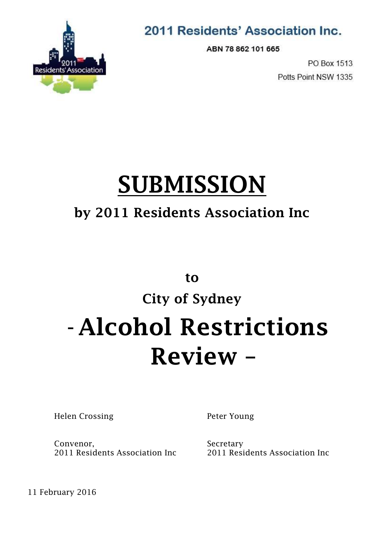

### 2011 Residents' Association Inc.

ABN 78 862 101 665

PO Box 1513 Potts Point NSW 1335

# **SUBMISSION**

## **by 2011 Residents Association Inc**

**to**

# **City of Sydney**  -**Alcohol Restrictions Review –**

Helen Crossing

Peter Young

Convenor, 2011 Residents Association Inc Secretary 2011 Residents Association Inc

11 February 2016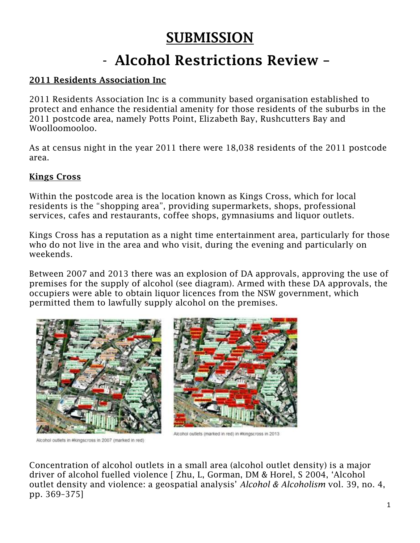### **SUBMISSION**

## - **Alcohol Restrictions Review –**

#### **2011 Residents Association Inc**

2011 Residents Association Inc is a community based organisation established to protect and enhance the residential amenity for those residents of the suburbs in the 2011 postcode area, namely Potts Point, Elizabeth Bay, Rushcutters Bay and Woolloomooloo.

As at census night in the year 2011 there were 18,038 residents of the 2011 postcode area.

#### **Kings Cross**

Within the postcode area is the location known as Kings Cross, which for local residents is the "shopping area", providing supermarkets, shops, professional services, cafes and restaurants, coffee shops, gymnasiums and liquor outlets.

Kings Cross has a reputation as a night time entertainment area, particularly for those who do not live in the area and who visit, during the evening and particularly on weekends.

Between 2007 and 2013 there was an explosion of DA approvals, approving the use of premises for the supply of alcohol (see diagram). Armed with these DA approvals, the occupiers were able to obtain liquor licences from the NSW government, which permitted them to lawfully supply alcohol on the premises.



Alcohol outlets in #kingscross in 2007 (marked in red)



Alcohol outlets (marked in red) in #kingscross in 2013.

Concentration of alcohol outlets in a small area (alcohol outlet density) is a major driver of alcohol fuelled violence [ Zhu, L, Gorman, DM & Horel, S 2004, 'Alcohol outlet density and violence: a geospatial analysis' *Alcohol & Alcoholism* vol. 39, no. 4, pp. 369–375]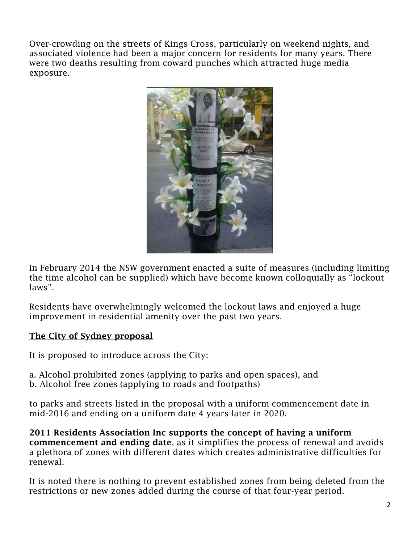Over-crowding on the streets of Kings Cross, particularly on weekend nights, and associated violence had been a major concern for residents for many years. There were two deaths resulting from coward punches which attracted huge media exposure.



In February 2014 the NSW government enacted a suite of measures (including limiting the time alcohol can be supplied) which have become known colloquially as "lockout laws".

Residents have overwhelmingly welcomed the lockout laws and enjoyed a huge improvement in residential amenity over the past two years.

#### **The City of Sydney proposal**

It is proposed to introduce across the City:

a. Alcohol prohibited zones (applying to parks and open spaces), and b. Alcohol free zones (applying to roads and footpaths)

to parks and streets listed in the proposal with a uniform commencement date in mid-2016 and ending on a uniform date 4 years later in 2020.

**2011 Residents Association Inc supports the concept of having a uniform commencement and ending date**, as it simplifies the process of renewal and avoids a plethora of zones with different dates which creates administrative difficulties for renewal.

It is noted there is nothing to prevent established zones from being deleted from the restrictions or new zones added during the course of that four-year period.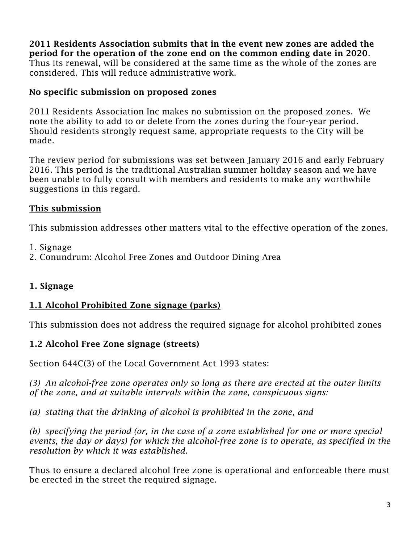**2011 Residents Association submits that in the event new zones are added the period for the operation of the zone end on the common ending date in 2020**. Thus its renewal, will be considered at the same time as the whole of the zones are considered. This will reduce administrative work.

#### **No specific submission on proposed zones**

2011 Residents Association Inc makes no submission on the proposed zones. We note the ability to add to or delete from the zones during the four-year period. Should residents strongly request same, appropriate requests to the City will be made.

The review period for submissions was set between January 2016 and early February 2016. This period is the traditional Australian summer holiday season and we have been unable to fully consult with members and residents to make any worthwhile suggestions in this regard.

#### **This submission**

This submission addresses other matters vital to the effective operation of the zones.

- 1. Signage
- 2. Conundrum: Alcohol Free Zones and Outdoor Dining Area

#### **1. Signage**

#### **1.1 Alcohol Prohibited Zone signage (parks)**

This submission does not address the required signage for alcohol prohibited zones

#### **1.2 Alcohol Free Zone signage (streets)**

Section 644C(3) of the Local Government Act 1993 states:

*(3) An alcohol-free zone operates only so long as there are erected at the outer limits of the zone, and at suitable intervals within the zone, conspicuous signs:*

*(a) stating that the drinking of alcohol is prohibited in the zone, and*

*(b) specifying the period (or, in the case of a zone established for one or more special events, the day or days) for which the alcohol-free zone is to operate, as specified in the resolution by which it was established*.

Thus to ensure a declared alcohol free zone is operational and enforceable there must be erected in the street the required signage.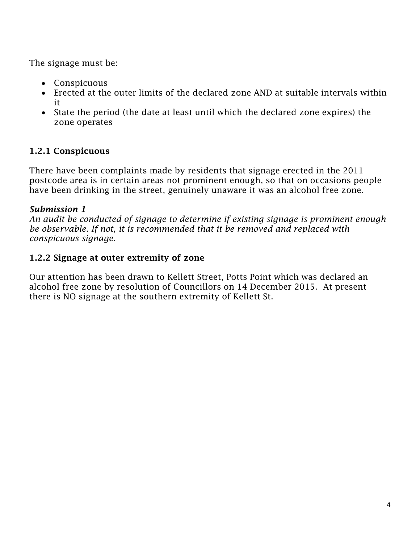The signage must be:

- Conspicuous
- Erected at the outer limits of the declared zone AND at suitable intervals within it
- State the period (the date at least until which the declared zone expires) the zone operates

#### **1.2.1 Conspicuous**

There have been complaints made by residents that signage erected in the 2011 postcode area is in certain areas not prominent enough, so that on occasions people have been drinking in the street, genuinely unaware it was an alcohol free zone.

#### *Submission 1*

*An audit be conducted of signage to determine if existing signage is prominent enough be observable. If not, it is recommended that it be removed and replaced with conspicuous signage*.

#### **1.2.2 Signage at outer extremity of zone**

Our attention has been drawn to Kellett Street, Potts Point which was declared an alcohol free zone by resolution of Councillors on 14 December 2015. At present there is NO signage at the southern extremity of Kellett St.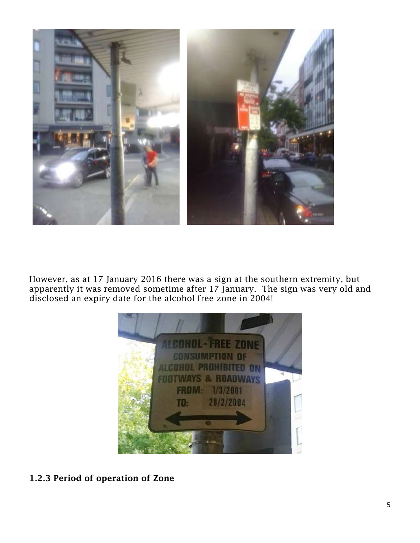

However, as at 17 January 2016 there was a sign at the southern extremity, but apparently it was removed sometime after 17 January. The sign was very old and disclosed an expiry date for the alcohol free zone in 2004!



**1.2.3 Period of operation of Zone**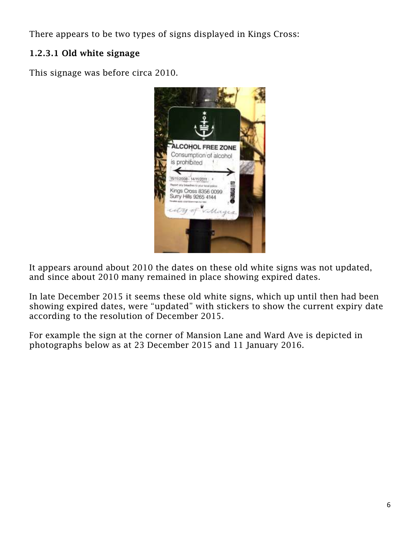There appears to be two types of signs displayed in Kings Cross:

#### **1.2.3.1 Old white signage**

This signage was before circa 2010.



It appears around about 2010 the dates on these old white signs was not updated, and since about 2010 many remained in place showing expired dates.

In late December 2015 it seems these old white signs, which up until then had been showing expired dates, were "updated" with stickers to show the current expiry date according to the resolution of December 2015.

For example the sign at the corner of Mansion Lane and Ward Ave is depicted in photographs below as at 23 December 2015 and 11 January 2016.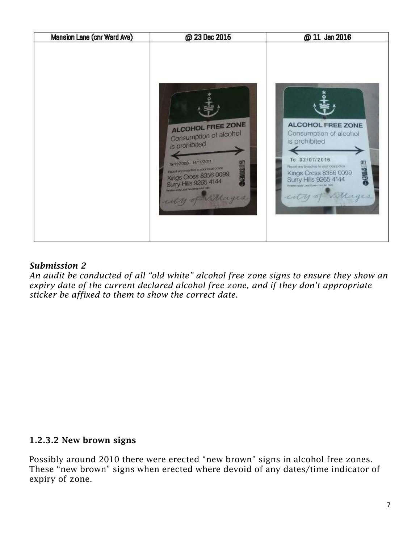

#### *Submission 2*

*An audit be conducted of all "old white" alcohol free zone signs to ensure they show an expiry date of the current declared alcohol free zone, and if they don't appropriate sticker be affixed to them to show the correct date*.

#### **1.2.3.2 New brown signs**

Possibly around 2010 there were erected "new brown" signs in alcohol free zones. These "new brown" signs when erected where devoid of any dates/time indicator of expiry of zone.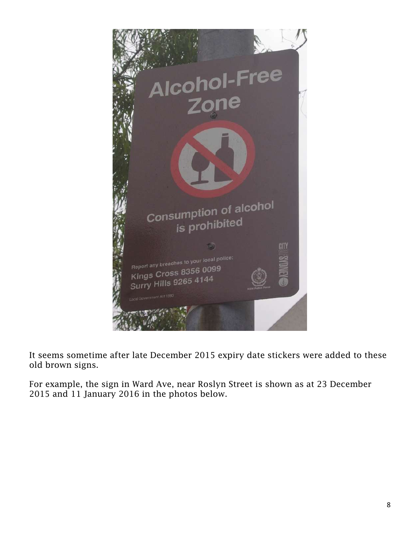

It seems sometime after late December 2015 expiry date stickers were added to these old brown signs.

For example, the sign in Ward Ave, near Roslyn Street is shown as at 23 December 2015 and 11 January 2016 in the photos below.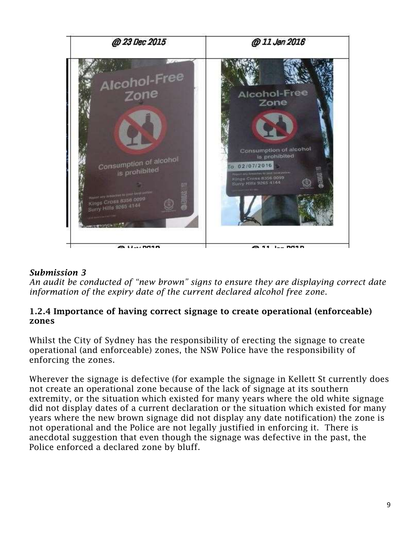

#### *Submission 3*

*An audit be conducted of "new brown" signs to ensure they are displaying correct date information of the expiry date of the current declared alcohol free zone*.

#### **1.2.4 Importance of having correct signage to create operational (enforceable) zones**

Whilst the City of Sydney has the responsibility of erecting the signage to create operational (and enforceable) zones, the NSW Police have the responsibility of enforcing the zones.

Wherever the signage is defective (for example the signage in Kellett St currently does not create an operational zone because of the lack of signage at its southern extremity, or the situation which existed for many years where the old white signage did not display dates of a current declaration or the situation which existed for many years where the new brown signage did not display any date notification) the zone is not operational and the Police are not legally justified in enforcing it. There is anecdotal suggestion that even though the signage was defective in the past, the Police enforced a declared zone by bluff.